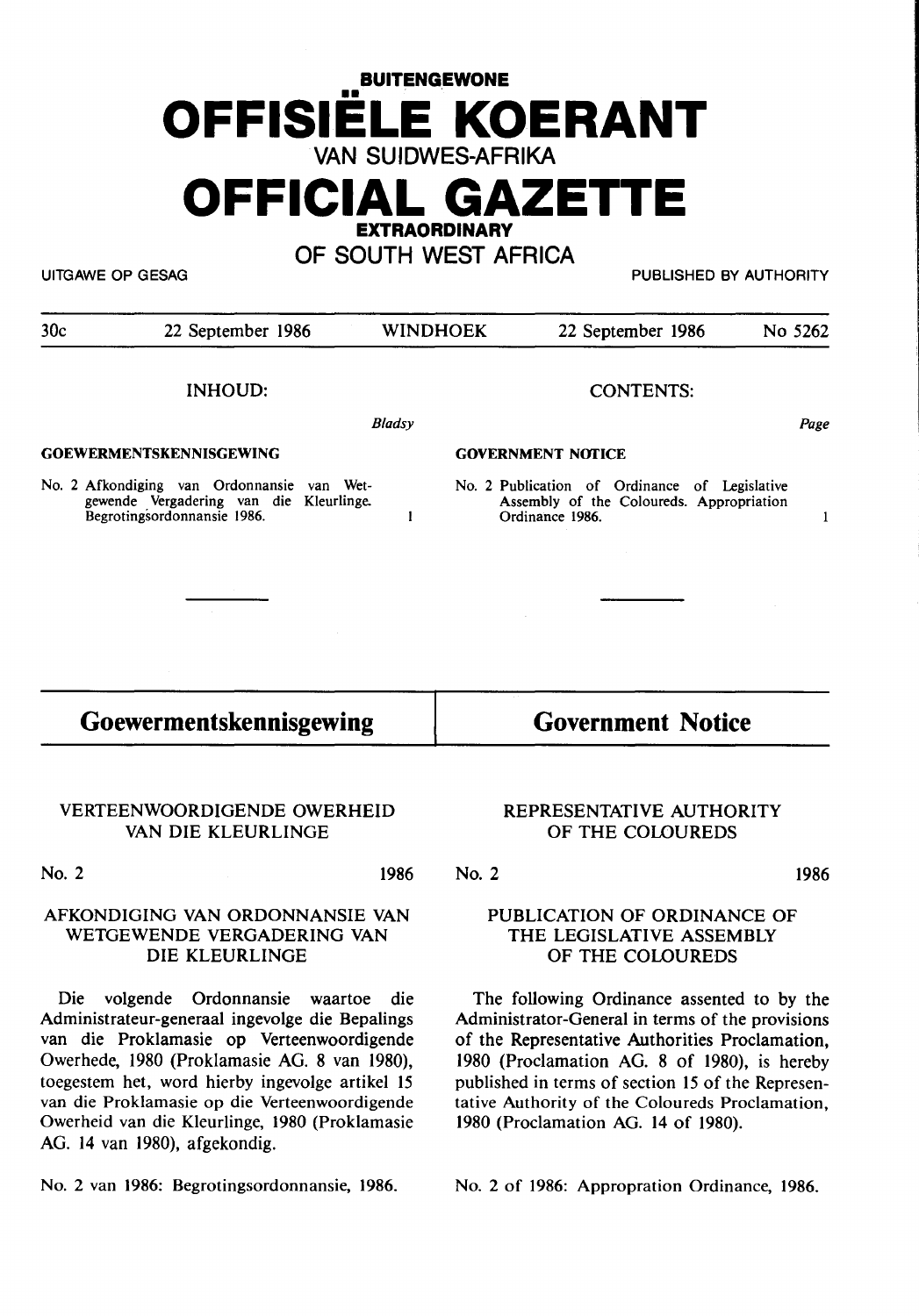# **BUITENGEWONE**  •• **OFFISIELE KOERANT VAN SUIDWES-AFRIKA**

## **OFFICIAL GAZETTE EXTRAORDINARY**

**OF SOUTH WEST AFRICA** 

UITGAWE OP GESAG PUBLISHED BY AUTHORITY

| 30c                            | 22 September 1986                                                                                                    |  | <b>WINDHOEK</b>          | 22 September 1986                                                                                            | No 5262 |  |  |
|--------------------------------|----------------------------------------------------------------------------------------------------------------------|--|--------------------------|--------------------------------------------------------------------------------------------------------------|---------|--|--|
|                                | <b>INHOUD:</b>                                                                                                       |  | <b>CONTENTS:</b>         |                                                                                                              |         |  |  |
|                                | <b>Bladsy</b>                                                                                                        |  |                          |                                                                                                              | Page    |  |  |
| <b>GOEWERMENTSKENNISGEWING</b> |                                                                                                                      |  | <b>GOVERNMENT NOTICE</b> |                                                                                                              |         |  |  |
|                                | No. 2 Afkondiging van Ordonnansie van Wet-<br>gewende Vergadering van die Kleurlinge.<br>Begrotingsordonnansie 1986. |  |                          | No. 2 Publication of Ordinance of Legislative<br>Assembly of the Coloureds. Appropriation<br>Ordinance 1986. | 1       |  |  |
|                                |                                                                                                                      |  |                          |                                                                                                              |         |  |  |
|                                | Goewermentskennisgewing                                                                                              |  |                          | <b>Government Notice</b>                                                                                     |         |  |  |

### VERTEENWOORDIGENDE OWERHEID VAN DIE KLEURLINGE

No. 2 1986

### AFKONDIGING VAN ORDONNANSIE VAN WETGEWENDE VERGADERING VAN DIE KLEURLINGE

Die volgende Ordonnansie waartoe die Administrateur-generaal ingevolge die Bepalings van die Proklamasie op Verteenwoordigende Owerhede, 1980 (Proklamasie AG. 8 van 1980), toegestem bet, word hierby ingevolge artikel 15 van die Proklamasie op die Verteenwoordigende Owerheid van die Kleurlinge, 1980 (Proklamasie AG. 14 van 1980), afgekondig.

No. 2 van **1986:** Begrotingsordonnansie, **1986.** 

#### REPRESENTATIVE AUTHORITY OF THE COLOUREDS

No. 2 1986

#### PUBLICATION OF ORDINANCE OF THE LEGISLATIVE ASSEMBLY OF THE COLOUREDS

The following Ordinance assented to by the Administrator-General in terms of the provisions of the Representative Authorities Proclamation, 1980 (Proclamation AG. 8 of 1980), is hereby published in terms of section 15 of the Representative Authority of the Coloureds Proclamation, 1980 (Proclamation AG. 14 of 1980).

No. 2 of 1986: Appropration Ordinance, 1986.